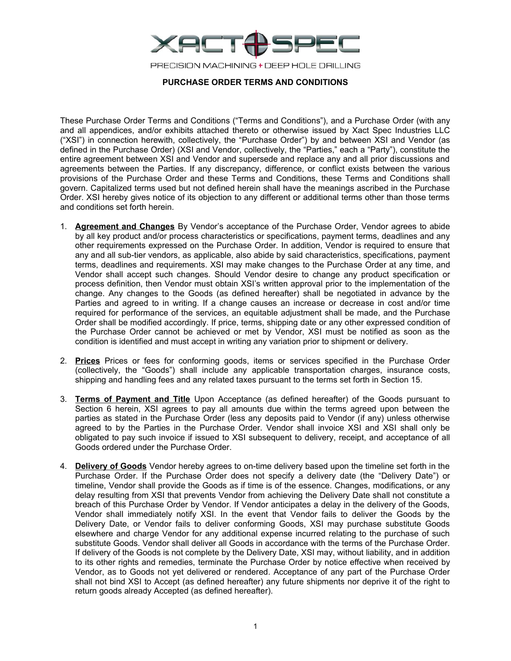

## **PURCHASE ORDER TERMS AND CONDITIONS**

These Purchase Order Terms and Conditions ("Terms and Conditions"), and a Purchase Order (with any and all appendices, and/or exhibits attached thereto or otherwise issued by Xact Spec Industries LLC ("XSI") in connection herewith, collectively, the "Purchase Order") by and between XSI and Vendor (as defined in the Purchase Order) (XSI and Vendor, collectively, the "Parties," each a "Party"), constitute the entire agreement between XSI and Vendor and supersede and replace any and all prior discussions and agreements between the Parties. If any discrepancy, difference, or conflict exists between the various provisions of the Purchase Order and these Terms and Conditions, these Terms and Conditions shall govern. Capitalized terms used but not defined herein shall have the meanings ascribed in the Purchase Order. XSI hereby gives notice of its objection to any different or additional terms other than those terms and conditions set forth herein.

- 1. **Agreement and Changes** By Vendor's acceptance of the Purchase Order, Vendor agrees to abide by all key product and/or process characteristics or specifications, payment terms, deadlines and any other requirements expressed on the Purchase Order. In addition, Vendor is required to ensure that any and all sub-tier vendors, as applicable, also abide by said characteristics, specifications, payment terms, deadlines and requirements. XSI may make changes to the Purchase Order at any time, and Vendor shall accept such changes. Should Vendor desire to change any product specification or process definition, then Vendor must obtain XSI's written approval prior to the implementation of the change. Any changes to the Goods (as defined hereafter) shall be negotiated in advance by the Parties and agreed to in writing. If a change causes an increase or decrease in cost and/or time required for performance of the services, an equitable adjustment shall be made, and the Purchase Order shall be modified accordingly. If price, terms, shipping date or any other expressed condition of the Purchase Order cannot be achieved or met by Vendor, XSI must be notified as soon as the condition is identified and must accept in writing any variation prior to shipment or delivery.
- 2. **Prices** Prices or fees for conforming goods, items or services specified in the Purchase Order (collectively, the "Goods") shall include any applicable transportation charges, insurance costs, shipping and handling fees and any related taxes pursuant to the terms set forth in Section 15.
- 3. **Terms of Payment and Title** Upon Acceptance (as defined hereafter) of the Goods pursuant to Section 6 herein, XSI agrees to pay all amounts due within the terms agreed upon between the parties as stated in the Purchase Order (less any deposits paid to Vendor (if any) unless otherwise agreed to by the Parties in the Purchase Order. Vendor shall invoice XSI and XSI shall only be obligated to pay such invoice if issued to XSI subsequent to delivery, receipt, and acceptance of all Goods ordered under the Purchase Order.
- 4. **Delivery of Goods** Vendor hereby agrees to on-time delivery based upon the timeline set forth in the Purchase Order. If the Purchase Order does not specify a delivery date (the "Delivery Date") or timeline, Vendor shall provide the Goods as if time is of the essence. Changes, modifications, or any delay resulting from XSI that prevents Vendor from achieving the Delivery Date shall not constitute a breach of this Purchase Order by Vendor. If Vendor anticipates a delay in the delivery of the Goods, Vendor shall immediately notify XSI. In the event that Vendor fails to deliver the Goods by the Delivery Date, or Vendor fails to deliver conforming Goods, XSI may purchase substitute Goods elsewhere and charge Vendor for any additional expense incurred relating to the purchase of such substitute Goods. Vendor shall deliver all Goods in accordance with the terms of the Purchase Order. If delivery of the Goods is not complete by the Delivery Date, XSI may, without liability, and in addition to its other rights and remedies, terminate the Purchase Order by notice effective when received by Vendor, as to Goods not yet delivered or rendered. Acceptance of any part of the Purchase Order shall not bind XSI to Accept (as defined hereafter) any future shipments nor deprive it of the right to return goods already Accepted (as defined hereafter).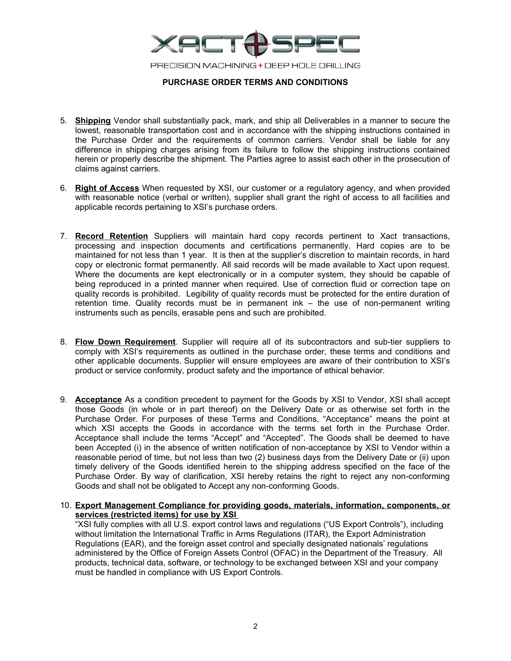

## **PURCHASE ORDER TERMS AND CONDITIONS**

- 5. **Shipping** Vendor shall substantially pack, mark, and ship all Deliverables in a manner to secure the lowest, reasonable transportation cost and in accordance with the shipping instructions contained in the Purchase Order and the requirements of common carriers. Vendor shall be liable for any difference in shipping charges arising from its failure to follow the shipping instructions contained herein or properly describe the shipment. The Parties agree to assist each other in the prosecution of claims against carriers.
- 6. **Right of Access** When requested by XSI, our customer or a regulatory agency, and when provided with reasonable notice (verbal or written), supplier shall grant the right of access to all facilities and applicable records pertaining to XSI's purchase orders.
- 7. **Record Retention** Suppliers will maintain hard copy records pertinent to Xact transactions, processing and inspection documents and certifications permanently. Hard copies are to be maintained for not less than 1 year. It is then at the supplier's discretion to maintain records, in hard copy or electronic format permanently. All said records will be made available to Xact upon request. Where the documents are kept electronically or in a computer system, they should be capable of being reproduced in a printed manner when required. Use of correction fluid or correction tape on quality records is prohibited. Legibility of quality records must be protected for the entire duration of retention time. Quality records must be in permanent ink – the use of non-permanent writing instruments such as pencils, erasable pens and such are prohibited.
- 8. **Flow Down Requirement**. Supplier will require all of its subcontractors and sub-tier suppliers to comply with XSI's requirements as outlined in the purchase order, these terms and conditions and other applicable documents. Supplier will ensure employees are aware of their contribution to XSI's product or service conformity, product safety and the importance of ethical behavior.
- 9. **Acceptance** As a condition precedent to payment for the Goods by XSI to Vendor, XSI shall accept those Goods (in whole or in part thereof) on the Delivery Date or as otherwise set forth in the Purchase Order. For purposes of these Terms and Conditions, "Acceptance" means the point at which XSI accepts the Goods in accordance with the terms set forth in the Purchase Order. Acceptance shall include the terms "Accept" and "Accepted". The Goods shall be deemed to have been Accepted (i) in the absence of written notification of non-acceptance by XSI to Vendor within a reasonable period of time, but not less than two (2) business days from the Delivery Date or (ii) upon timely delivery of the Goods identified herein to the shipping address specified on the face of the Purchase Order. By way of clarification, XSI hereby retains the right to reject any non-conforming Goods and shall not be obligated to Accept any non-conforming Goods.
- 10. **Export Management Compliance for providing goods, materials, information, components, or services (restricted items) for use by XSI**

"XSI fully complies with all U.S. export control laws and regulations ("US Export Controls"), including without limitation the International Traffic in Arms Regulations (ITAR), the Export Administration Regulations (EAR), and the foreign asset control and specially designated nationals' regulations administered by the Office of Foreign Assets Control (OFAC) in the Department of the Treasury. All products, technical data, software, or technology to be exchanged between XSI and your company must be handled in compliance with US Export Controls.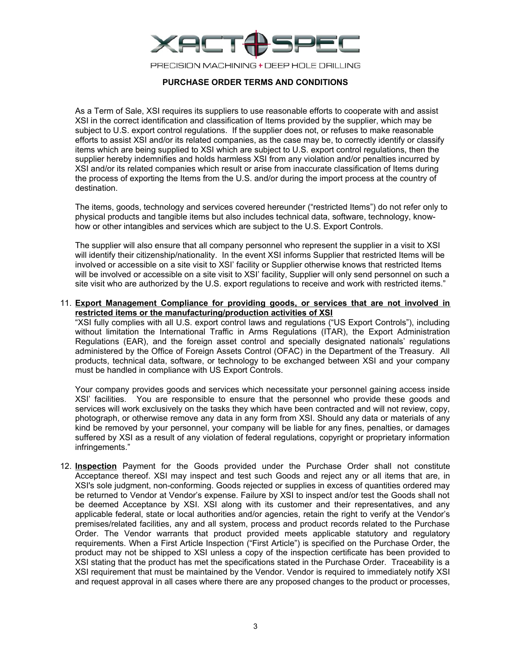

# **PURCHASE ORDER TERMS AND CONDITIONS**

As a Term of Sale, XSI requires its suppliers to use reasonable efforts to cooperate with and assist XSI in the correct identification and classification of Items provided by the supplier, which may be subject to U.S. export control regulations. If the supplier does not, or refuses to make reasonable efforts to assist XSI and/or its related companies, as the case may be, to correctly identify or classify items which are being supplied to XSI which are subject to U.S. export control regulations, then the supplier hereby indemnifies and holds harmless XSI from any violation and/or penalties incurred by XSI and/or its related companies which result or arise from inaccurate classification of Items during the process of exporting the Items from the U.S. and/or during the import process at the country of destination.

The items, goods, technology and services covered hereunder ("restricted Items") do not refer only to physical products and tangible items but also includes technical data, software, technology, knowhow or other intangibles and services which are subject to the U.S. Export Controls.

The supplier will also ensure that all company personnel who represent the supplier in a visit to XSI will identify their citizenship/nationality. In the event XSI informs Supplier that restricted Items will be involved or accessible on a site visit to XSI' facility or Supplier otherwise knows that restricted Items will be involved or accessible on a site visit to XSI' facility, Supplier will only send personnel on such a site visit who are authorized by the U.S. export regulations to receive and work with restricted items."

11. **Export Management Compliance for providing goods, or services that are not involved in restricted items or the manufacturing/production activities of XSI**

"XSI fully complies with all U.S. export control laws and regulations ("US Export Controls"), including without limitation the International Traffic in Arms Regulations (ITAR), the Export Administration Regulations (EAR), and the foreign asset control and specially designated nationals' regulations administered by the Office of Foreign Assets Control (OFAC) in the Department of the Treasury. All products, technical data, software, or technology to be exchanged between XSI and your company must be handled in compliance with US Export Controls.

Your company provides goods and services which necessitate your personnel gaining access inside XSI' facilities. You are responsible to ensure that the personnel who provide these goods and services will work exclusively on the tasks they which have been contracted and will not review, copy, photograph, or otherwise remove any data in any form from XSI. Should any data or materials of any kind be removed by your personnel, your company will be liable for any fines, penalties, or damages suffered by XSI as a result of any violation of federal regulations, copyright or proprietary information infringements."

12. **Inspection** Payment for the Goods provided under the Purchase Order shall not constitute Acceptance thereof. XSI may inspect and test such Goods and reject any or all items that are, in XSI's sole judgment, non-conforming. Goods rejected or supplies in excess of quantities ordered may be returned to Vendor at Vendor's expense. Failure by XSI to inspect and/or test the Goods shall not be deemed Acceptance by XSI. XSI along with its customer and their representatives, and any applicable federal, state or local authorities and/or agencies, retain the right to verify at the Vendor's premises/related facilities, any and all system, process and product records related to the Purchase Order. The Vendor warrants that product provided meets applicable statutory and regulatory requirements. When a First Article Inspection ("First Article") is specified on the Purchase Order, the product may not be shipped to XSI unless a copy of the inspection certificate has been provided to XSI stating that the product has met the specifications stated in the Purchase Order. Traceability is a XSI requirement that must be maintained by the Vendor. Vendor is required to immediately notify XSI and request approval in all cases where there are any proposed changes to the product or processes,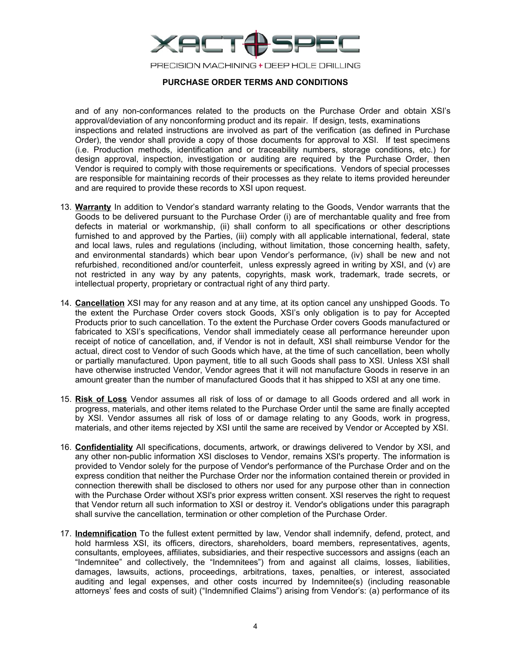

### **PURCHASE ORDER TERMS AND CONDITIONS**

and of any non-conformances related to the products on the Purchase Order and obtain XSI's approval/deviation of any nonconforming product and its repair. If design, tests, examinations inspections and related instructions are involved as part of the verification (as defined in Purchase Order), the vendor shall provide a copy of those documents for approval to XSI. If test specimens (i.e. Production methods, identification and or traceability numbers, storage conditions, etc.) for design approval, inspection, investigation or auditing are required by the Purchase Order, then Vendor is required to comply with those requirements or specifications. Vendors of special processes are responsible for maintaining records of their processes as they relate to items provided hereunder and are required to provide these records to XSI upon request.

- 13. **Warranty** In addition to Vendor's standard warranty relating to the Goods, Vendor warrants that the Goods to be delivered pursuant to the Purchase Order (i) are of merchantable quality and free from defects in material or workmanship, (ii) shall conform to all specifications or other descriptions furnished to and approved by the Parties, (iii) comply with all applicable international, federal, state and local laws, rules and regulations (including, without limitation, those concerning health, safety, and environmental standards) which bear upon Vendor's performance, (iv) shall be new and not refurbished, reconditioned and/or counterfeit, unless expressly agreed in writing by XSI, and (v) are not restricted in any way by any patents, copyrights, mask work, trademark, trade secrets, or intellectual property, proprietary or contractual right of any third party.
- 14. **Cancellation** XSI may for any reason and at any time, at its option cancel any unshipped Goods. To the extent the Purchase Order covers stock Goods, XSI's only obligation is to pay for Accepted Products prior to such cancellation. To the extent the Purchase Order covers Goods manufactured or fabricated to XSI's specifications, Vendor shall immediately cease all performance hereunder upon receipt of notice of cancellation, and, if Vendor is not in default, XSI shall reimburse Vendor for the actual, direct cost to Vendor of such Goods which have, at the time of such cancellation, been wholly or partially manufactured. Upon payment, title to all such Goods shall pass to XSI. Unless XSI shall have otherwise instructed Vendor, Vendor agrees that it will not manufacture Goods in reserve in an amount greater than the number of manufactured Goods that it has shipped to XSI at any one time.
- 15. **Risk of Loss** Vendor assumes all risk of loss of or damage to all Goods ordered and all work in progress, materials, and other items related to the Purchase Order until the same are finally accepted by XSI. Vendor assumes all risk of loss of or damage relating to any Goods, work in progress, materials, and other items rejected by XSI until the same are received by Vendor or Accepted by XSI.
- 16. **Confidentiality** All specifications, documents, artwork, or drawings delivered to Vendor by XSI, and any other non-public information XSI discloses to Vendor, remains XSI's property. The information is provided to Vendor solely for the purpose of Vendor's performance of the Purchase Order and on the express condition that neither the Purchase Order nor the information contained therein or provided in connection therewith shall be disclosed to others nor used for any purpose other than in connection with the Purchase Order without XSI's prior express written consent. XSI reserves the right to request that Vendor return all such information to XSI or destroy it. Vendor's obligations under this paragraph shall survive the cancellation, termination or other completion of the Purchase Order.
- 17. **Indemnification** To the fullest extent permitted by law, Vendor shall indemnify, defend, protect, and hold harmless XSI, its officers, directors, shareholders, board members, representatives, agents, consultants, employees, affiliates, subsidiaries, and their respective successors and assigns (each an "Indemnitee" and collectively, the "Indemnitees") from and against all claims, losses, liabilities, damages, lawsuits, actions, proceedings, arbitrations, taxes, penalties, or interest, associated auditing and legal expenses, and other costs incurred by Indemnitee(s) (including reasonable attorneys' fees and costs of suit) ("Indemnified Claims") arising from Vendor's: (a) performance of its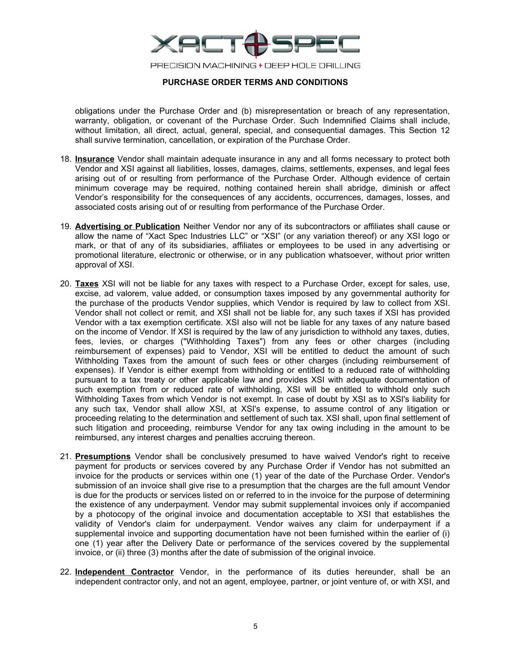

# **PURCHASE ORDER TERMS AND CONDITIONS**

obligations under the Purchase Order and (b) misrepresentation or breach of any representation, warranty, obligation, or covenant of the Purchase Order. Such Indemnified Claims shall include, without limitation, all direct, actual, general, special, and consequential damages. This Section 12 shall survive termination, cancellation, or expiration of the Purchase Order.

- 18. **Insurance** Vendor shall maintain adequate insurance in any and all forms necessary to protect both Vendor and XSI against all liabilities, losses, damages, claims, settlements, expenses, and legal fees arising out of or resulting from performance of the Purchase Order. Although evidence of certain minimum coverage may be required, nothing contained herein shall abridge, diminish or affect Vendor's responsibility for the consequences of any accidents, occurrences, damages, losses, and associated costs arising out of or resulting from performance of the Purchase Order.
- 19. **Advertising or Publication** Neither Vendor nor any of its subcontractors or affiliates shall cause or allow the name of "Xact Spec Industries LLC" or "XSI" (or any variation thereof) or any XSI logo or mark, or that of any of its subsidiaries, affiliates or employees to be used in any advertising or promotional literature, electronic or otherwise, or in any publication whatsoever, without prior written approval of XSI.
- 20. **Taxes** XSI will not be liable for any taxes with respect to a Purchase Order, except for sales, use, excise, ad valorem, value added, or consumption taxes imposed by any governmental authority for the purchase of the products Vendor supplies, which Vendor is required by law to collect from XSI. Vendor shall not collect or remit, and XSI shall not be liable for, any such taxes if XSI has provided Vendor with a tax exemption certificate. XSI also will not be liable for any taxes of any nature based on the income of Vendor. If XSI is required by the law of any jurisdiction to withhold any taxes, duties, fees, levies, or charges ("Withholding Taxes") from any fees or other charges (including reimbursement of expenses) paid to Vendor, XSI will be entitled to deduct the amount of such Withholding Taxes from the amount of such fees or other charges (including reimbursement of expenses). If Vendor is either exempt from withholding or entitled to a reduced rate of withholding pursuant to a tax treaty or other applicable law and provides XSI with adequate documentation of such exemption from or reduced rate of withholding, XSI will be entitled to withhold only such Withholding Taxes from which Vendor is not exempt. In case of doubt by XSI as to XSI's liability for any such tax, Vendor shall allow XSI, at XSI's expense, to assume control of any litigation or proceeding relating to the determination and settlement of such tax. XSI shall, upon final settlement of such litigation and proceeding, reimburse Vendor for any tax owing including in the amount to be reimbursed, any interest charges and penalties accruing thereon.
- 21. **Presumptions** Vendor shall be conclusively presumed to have waived Vendor's right to receive payment for products or services covered by any Purchase Order if Vendor has not submitted an invoice for the products or services within one (1) year of the date of the Purchase Order. Vendor's submission of an invoice shall give rise to a presumption that the charges are the full amount Vendor is due for the products or services listed on or referred to in the invoice for the purpose of determining the existence of any underpayment. Vendor may submit supplemental invoices only if accompanied by a photocopy of the original invoice and documentation acceptable to XSI that establishes the validity of Vendor's claim for underpayment. Vendor waives any claim for underpayment if a supplemental invoice and supporting documentation have not been furnished within the earlier of (i) one (1) year after the Delivery Date or performance of the services covered by the supplemental invoice, or (ii) three (3) months after the date of submission of the original invoice.
- 22. **Independent Contractor** Vendor, in the performance of its duties hereunder, shall be an independent contractor only, and not an agent, employee, partner, or joint venture of, or with XSI, and